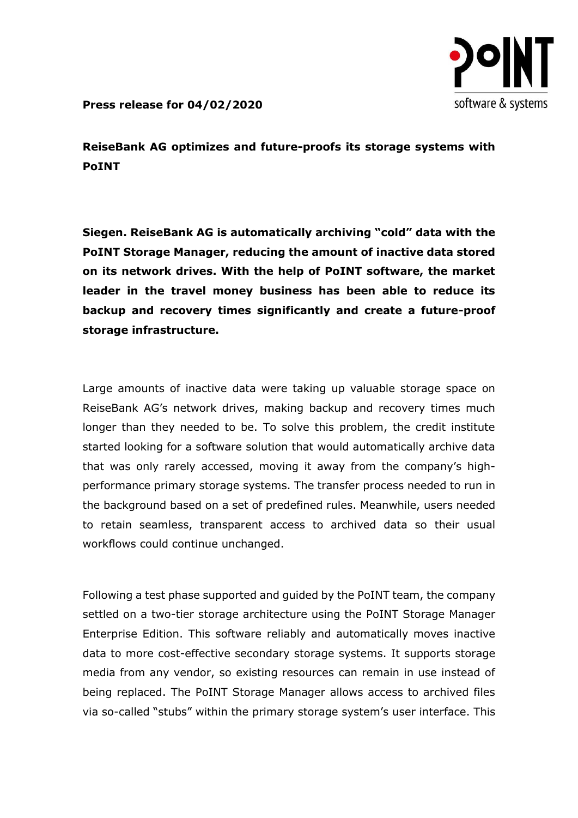

**Press release for 04/02/2020**

**ReiseBank AG optimizes and future-proofs its storage systems with PoINT**

**Siegen. ReiseBank AG is automatically archiving "cold" data with the PoINT Storage Manager, reducing the amount of inactive data stored on its network drives. With the help of PoINT software, the market leader in the travel money business has been able to reduce its backup and recovery times significantly and create a future-proof storage infrastructure.**

Large amounts of inactive data were taking up valuable storage space on ReiseBank AG's network drives, making backup and recovery times much longer than they needed to be. To solve this problem, the credit institute started looking for a software solution that would automatically archive data that was only rarely accessed, moving it away from the company's highperformance primary storage systems. The transfer process needed to run in the background based on a set of predefined rules. Meanwhile, users needed to retain seamless, transparent access to archived data so their usual workflows could continue unchanged.

Following a test phase supported and guided by the PoINT team, the company settled on a two-tier storage architecture using the PoINT Storage Manager Enterprise Edition. This software reliably and automatically moves inactive data to more cost-effective secondary storage systems. It supports storage media from any vendor, so existing resources can remain in use instead of being replaced. The PoINT Storage Manager allows access to archived files via so-called "stubs" within the primary storage system's user interface. This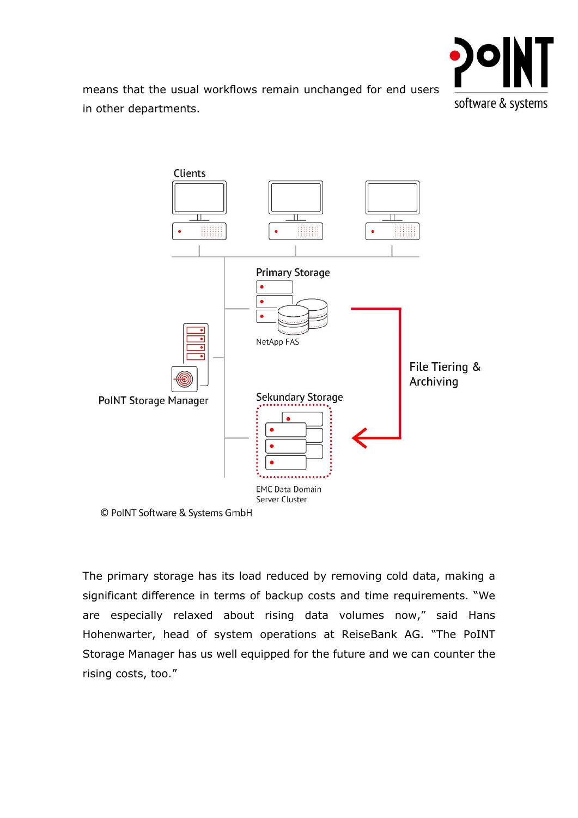

means that the usual workflows remain unchanged for end users in other departments.



The primary storage has its load reduced by removing cold data, making a significant difference in terms of backup costs and time requirements. "We are especially relaxed about rising data volumes now," said Hans Hohenwarter, head of system operations at ReiseBank AG. "The PoINT Storage Manager has us well equipped for the future and we can counter the rising costs, too."